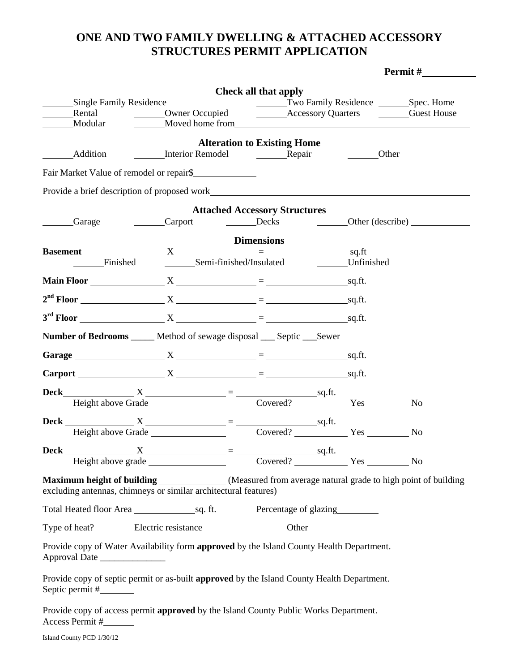## **ONE AND TWO FAMILY DWELLING & ATTACHED ACCESSORY STRUCTURES PERMIT APPLICATION**

|                                |                                                                                                                                                                                                                                | Check all that apply                 |                                          |           |  |
|--------------------------------|--------------------------------------------------------------------------------------------------------------------------------------------------------------------------------------------------------------------------------|--------------------------------------|------------------------------------------|-----------|--|
| <b>Single Family Residence</b> |                                                                                                                                                                                                                                |                                      |                                          |           |  |
|                                |                                                                                                                                                                                                                                |                                      | Two Family Residence _________Spec. Home |           |  |
| Modular                        | Moved home from New York Channels and Moved home from                                                                                                                                                                          |                                      |                                          |           |  |
|                                |                                                                                                                                                                                                                                | <b>Alteration to Existing Home</b>   |                                          |           |  |
| Addition                       | Interior Remodel Repair                                                                                                                                                                                                        |                                      | Other                                    |           |  |
|                                | Fair Market Value of remodel or repair\$                                                                                                                                                                                       |                                      |                                          |           |  |
|                                | Provide a brief description of proposed work here are also also been also been also been also been also been also been also been also been also been also been also been also been also been also been also been also been als |                                      |                                          |           |  |
|                                |                                                                                                                                                                                                                                | <b>Attached Accessory Structures</b> |                                          |           |  |
| Garage                         | <b>Carport</b>                                                                                                                                                                                                                 | Decks Deckeribe)                     |                                          |           |  |
|                                |                                                                                                                                                                                                                                | <b>Dimensions</b>                    |                                          |           |  |
|                                |                                                                                                                                                                                                                                |                                      |                                          |           |  |
| Finished                       |                                                                                                                                                                                                                                | Semi-finished/Insulated Unfinished   |                                          |           |  |
|                                | Main Floor $X_1 = 1$ sq.ft.                                                                                                                                                                                                    |                                      |                                          |           |  |
|                                |                                                                                                                                                                                                                                |                                      |                                          |           |  |
|                                |                                                                                                                                                                                                                                |                                      |                                          |           |  |
|                                | <b>Number of Bedrooms</b> _____ Method of sewage disposal ___ Septic ___ Sewer                                                                                                                                                 |                                      |                                          |           |  |
|                                |                                                                                                                                                                                                                                |                                      |                                          |           |  |
|                                | Garage $X = 2$                                                                                                                                                                                                                 |                                      |                                          |           |  |
|                                |                                                                                                                                                                                                                                |                                      |                                          |           |  |
|                                | <b>Deck</b> $X = \frac{X}{\text{Height above Grade}} = \frac{Sq \cdot ft}{\text{Covered?}}$ Yes                                                                                                                                |                                      |                                          |           |  |
|                                |                                                                                                                                                                                                                                |                                      |                                          | <b>No</b> |  |
|                                |                                                                                                                                                                                                                                |                                      |                                          |           |  |
|                                | <b>Deck</b> $\frac{X}{\text{Height above Grade}} = \frac{\text{square}}{\text{Covered?}}$ $\frac{\text{sq.fit.}}{\text{Covered?}}$ Yes $\frac{\text{new}}{\text{Newed?}}$                                                      |                                      |                                          |           |  |
|                                | <b>Deck</b> $\frac{X}{\text{Height above grade}} = \frac{}{\text{Sq.fit.}}$ No                                                                                                                                                 |                                      |                                          |           |  |
|                                |                                                                                                                                                                                                                                |                                      |                                          |           |  |
|                                | Maximum height of building _____________(Measured from average natural grade to high point of building                                                                                                                         |                                      |                                          |           |  |
|                                | excluding antennas, chimneys or similar architectural features)                                                                                                                                                                |                                      |                                          |           |  |
|                                |                                                                                                                                                                                                                                |                                      |                                          |           |  |
|                                | Type of heat? Electric resistance Other                                                                                                                                                                                        |                                      |                                          |           |  |
| Approval Date                  | Provide copy of Water Availability form approved by the Island County Health Department.                                                                                                                                       |                                      |                                          |           |  |
|                                | Provide copy of septic permit or as-built approved by the Island County Health Department.                                                                                                                                     |                                      |                                          |           |  |
| Access Permit #                | Provide copy of access permit approved by the Island County Public Works Department.                                                                                                                                           |                                      |                                          |           |  |